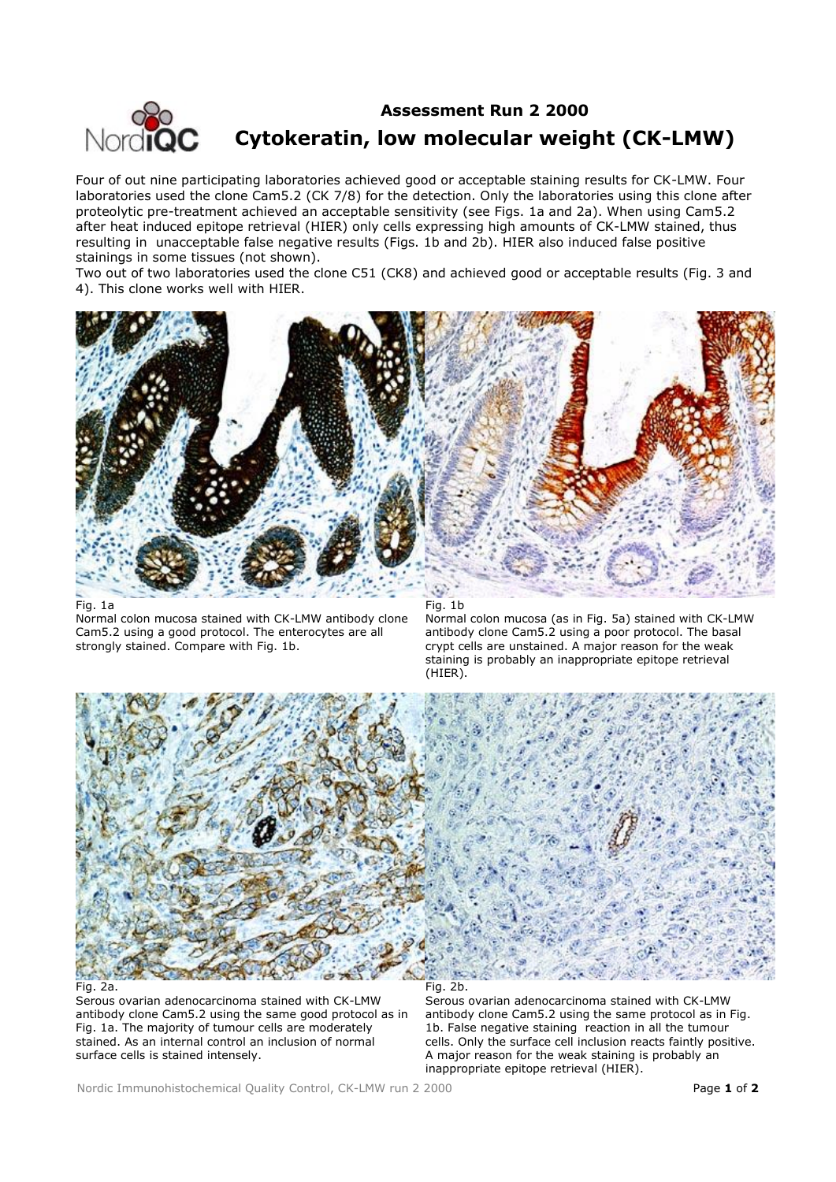

## **Assessment Run 2 2000 Cytokeratin, low molecular weight (CK-LMW)**

Four of out nine participating laboratories achieved good or acceptable staining results for CK-LMW. Four laboratories used the clone Cam5.2 (CK 7/8) for the detection. Only the laboratories using this clone after proteolytic pre-treatment achieved an acceptable sensitivity (see Figs. 1a and 2a). When using Cam5.2 after heat induced epitope retrieval (HIER) only cells expressing high amounts of CK-LMW stained, thus resulting in unacceptable false negative results (Figs. 1b and 2b). HIER also induced false positive stainings in some tissues (not shown).

Two out of two laboratories used the clone C51 (CK8) and achieved good or acceptable results (Fig. 3 and 4). This clone works well with HIER.



## Fig. 1a

Normal colon mucosa stained with CK-LMW antibody clone Cam5.2 using a good protocol. The enterocytes are all strongly stained. Compare with Fig. 1b.

Fig. 1b

Normal colon mucosa (as in Fig. 5a) stained with CK-LMW antibody clone Cam5.2 using a poor protocol. The basal crypt cells are unstained. A major reason for the weak staining is probably an inappropriate epitope retrieval (HIER).



Fig. 2a.

Serous ovarian adenocarcinoma stained with CK-LMW antibody clone Cam5.2 using the same good protocol as in Fig. 1a. The majority of tumour cells are moderately stained. As an internal control an inclusion of normal surface cells is stained intensely.

Serous ovarian adenocarcinoma stained with CK-LMW antibody clone Cam5.2 using the same protocol as in Fig. 1b. False negative staining reaction in all the tumour cells. Only the surface cell inclusion reacts faintly positive. A major reason for the weak staining is probably an inappropriate epitope retrieval (HIER).